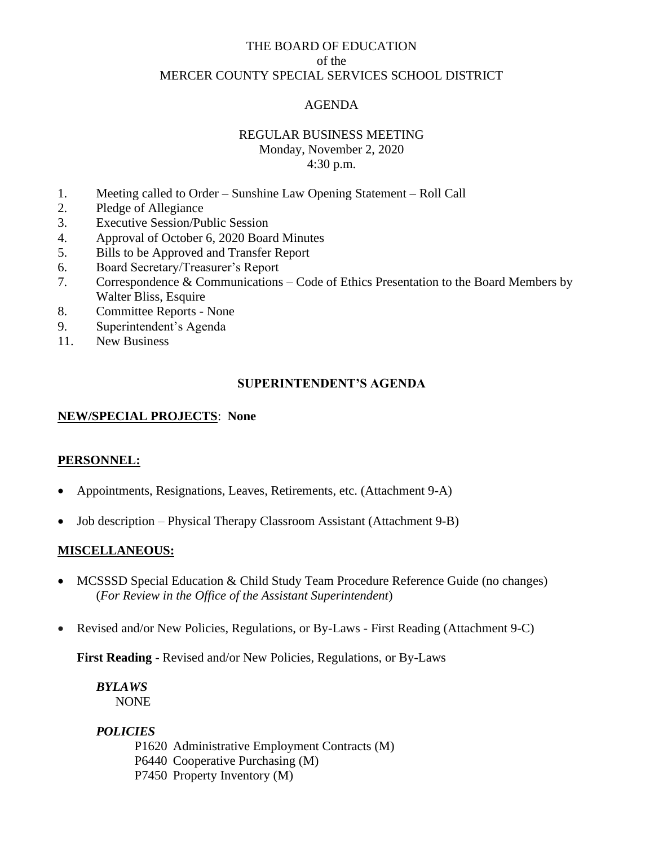## THE BOARD OF EDUCATION of the MERCER COUNTY SPECIAL SERVICES SCHOOL DISTRICT

## AGENDA

## REGULAR BUSINESS MEETING

Monday, November 2, 2020 4:30 p.m.

- 1. Meeting called to Order Sunshine Law Opening Statement Roll Call
- 2. Pledge of Allegiance
- 3. Executive Session/Public Session
- 4. Approval of October 6, 2020 Board Minutes
- 5. Bills to be Approved and Transfer Report
- 6. Board Secretary/Treasurer's Report
- 7. Correspondence & Communications Code of Ethics Presentation to the Board Members by Walter Bliss, Esquire
- 8. Committee Reports None
- 9. Superintendent's Agenda
- 11. New Business

## **SUPERINTENDENT'S AGENDA**

#### **NEW/SPECIAL PROJECTS**: **None**

## **PERSONNEL:**

- Appointments, Resignations, Leaves, Retirements, etc. (Attachment 9-A)
- Job description Physical Therapy Classroom Assistant (Attachment 9-B)

#### **MISCELLANEOUS:**

- MCSSSD Special Education & Child Study Team Procedure Reference Guide (no changes) (*For Review in the Office of the Assistant Superintendent*)
- Revised and/or New Policies, Regulations, or By-Laws First Reading (Attachment 9-C)

**First Reading** - Revised and/or New Policies, Regulations, or By-Laws

*BYLAWS* NONE

## *POLICIES*

P1620 Administrative Employment Contracts (M) P6440 Cooperative Purchasing (M) P7450 Property Inventory (M)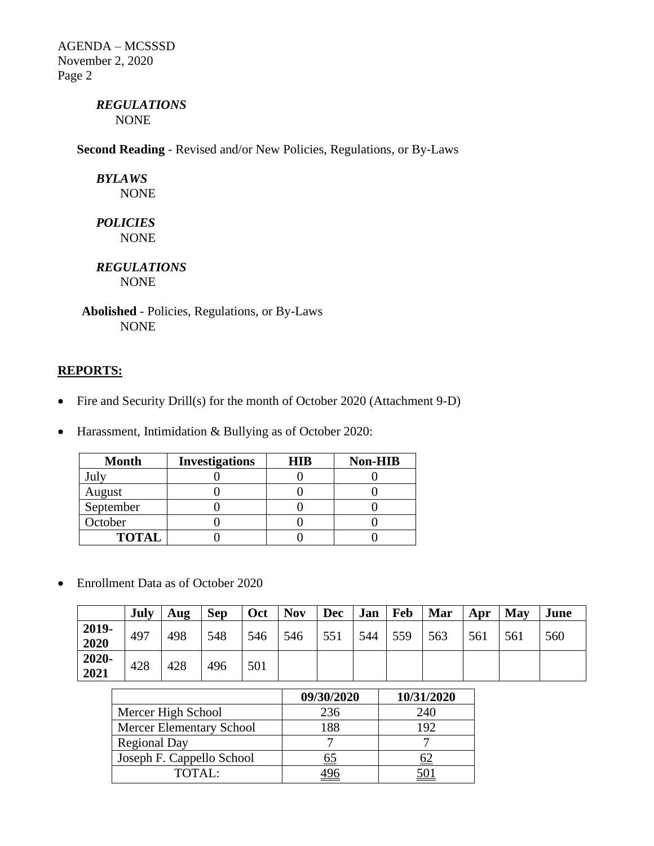AGENDA – MCSSSD November 2, 2020 Page 2

# *REGULATIONS*

NONE

**Second Reading** - Revised and/or New Policies, Regulations, or By-Laws

*BYLAWS* NONE

*POLICIES* NONE

*REGULATIONS* NONE

**Abolished** - Policies, Regulations, or By-Laws NONE

## **REPORTS:**

- Fire and Security Drill(s) for the month of October 2020 (Attachment 9-D)
- Harassment, Intimidation & Bullying as of October 2020:

| <b>Month</b> | <b>Investigations</b> | <b>HIR</b> | <b>Non-HIB</b> |
|--------------|-----------------------|------------|----------------|
|              |                       |            |                |
| August       |                       |            |                |
| September    |                       |            |                |
| October      |                       |            |                |
| <b>TOTAL</b> |                       |            |                |

• Enrollment Data as of October 2020

|               | July | Aug | <b>Sep</b> | Oct | <b>Nov</b> | <b>Dec</b> | Jan | <b>Feb</b> | Mar | Apr | May | June |
|---------------|------|-----|------------|-----|------------|------------|-----|------------|-----|-----|-----|------|
| 2019-<br>2020 | 497  | 498 | 548        | 546 | 546        | 551        | 544 | 559        | 563 | 561 | 561 | 560  |
| 2020-<br>2021 | 428  | 428 | 496        | 501 |            |            |     |            |     |     |     |      |

|                                 | 09/30/2020 | 10/31/2020 |
|---------------------------------|------------|------------|
| Mercer High School              | 236        | 240        |
| <b>Mercer Elementary School</b> | 188        | 192        |
| <b>Regional Day</b>             |            |            |
| Joseph F. Cappello School       | 65         |            |
| TOTAL:                          |            |            |